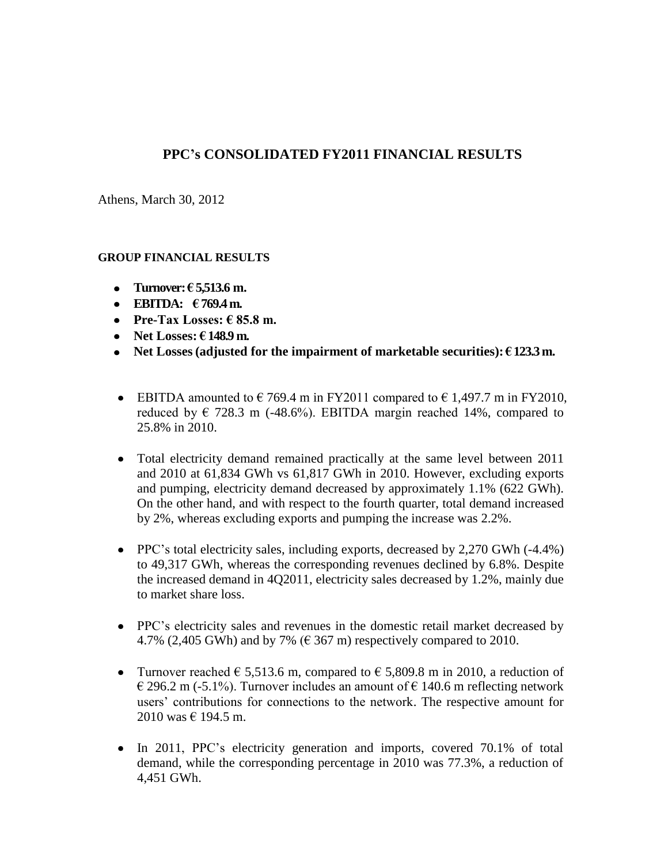# **PPC's CONSOLIDATED FY2011 FINANCIAL RESULTS**

Athens, March 30, 2012

#### **GROUP FINANCIAL RESULTS**

- **Turnover: € 5,513.6 m.**
- **EBITDA: € 769.4 m.**
- **Pre-Tax Losses:**  $\epsilon$  **85.8 m.**
- **Net Losses: € 148.9 m.**
- **•** Net Losses (adjusted for the impairment of marketable securities):  $\epsilon$  123.3 m.
- EBITDA amounted to  $\epsilon$  769.4 m in FY2011 compared to  $\epsilon$  1,497.7 m in FY2010, reduced by  $\in$  728.3 m (-48.6%). EBITDA margin reached 14%, compared to 25.8% in 2010.
- Total electricity demand remained practically at the same level between 2011 and 2010 at 61,834 GWh vs 61,817 GWh in 2010. However, excluding exports and pumping, electricity demand decreased by approximately 1.1% (622 GWh). On the other hand, and with respect to the fourth quarter, total demand increased by 2%, whereas excluding exports and pumping the increase was 2.2%.
- PPC's total electricity sales, including exports, decreased by 2,270 GWh (-4.4%) to 49,317 GWh, whereas the corresponding revenues declined by 6.8%. Despite the increased demand in 4Q2011, electricity sales decreased by 1.2%, mainly due to market share loss.
- PPC's electricity sales and revenues in the domestic retail market decreased by 4.7% (2,405 GWh) and by 7% ( $\epsilon$  367 m) respectively compared to 2010.
- Turnover reached  $\epsilon$  5,513.6 m, compared to  $\epsilon$  5,809.8 m in 2010, a reduction of  $\in$  296.2 m (-5.1%). Turnover includes an amount of  $\in$  140.6 m reflecting network users' contributions for connections to the network. The respective amount for 2010 was  $\in$  194.5 m.
- In 2011, PPC's electricity generation and imports, covered 70.1% of total demand, while the corresponding percentage in 2010 was 77.3%, a reduction of 4,451 GWh.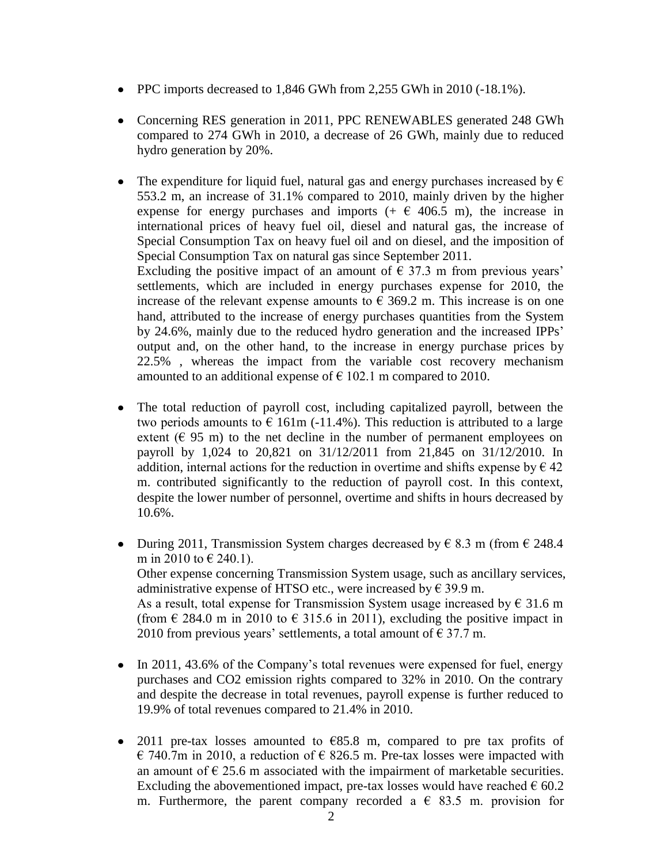- PPC imports decreased to 1,846 GWh from 2,255 GWh in 2010 (-18.1%).
- Concerning RES generation in 2011, PPC RENEWABLES generated 248 GWh compared to 274 GWh in 2010, a decrease of 26 GWh, mainly due to reduced hydro generation by 20%.
- The expenditure for liquid fuel, natural gas and energy purchases increased by  $\epsilon$ 553.2 m, an increase of 31.1% compared to 2010, mainly driven by the higher expense for energy purchases and imports  $(+ \in 406.5 \text{ m})$ , the increase in international prices of heavy fuel oil, diesel and natural gas, the increase of Special Consumption Tax on heavy fuel oil and on diesel, and the imposition of Special Consumption Tax on natural gas since September 2011. Excluding the positive impact of an amount of  $\epsilon$  37.3 m from previous years' settlements, which are included in energy purchases expense for 2010, the increase of the relevant expense amounts to  $\epsilon$  369.2 m. This increase is on one

hand, attributed to the increase of energy purchases quantities from the System by 24.6%, mainly due to the reduced hydro generation and the increased IPPs' output and, on the other hand, to the increase in energy purchase prices by 22.5% , whereas the impact from the variable cost recovery mechanism amounted to an additional expense of  $\epsilon$  102.1 m compared to 2010.

- The total reduction of payroll cost, including capitalized payroll, between the two periods amounts to  $\epsilon$  161m (-11.4%). This reduction is attributed to a large extent ( $\in$  95 m) to the net decline in the number of permanent employees on payroll by 1,024 to 20,821 on 31/12/2011 from 21,845 on 31/12/2010. In addition, internal actions for the reduction in overtime and shifts expense by  $\epsilon$  42 m. contributed significantly to the reduction of payroll cost. In this context, despite the lower number of personnel, overtime and shifts in hours decreased by 10.6%.
- During 2011, Transmission System charges decreased by  $\epsilon$  8.3 m (from  $\epsilon$  248.4) m in 2010 to  $\in$  240.1). Other expense concerning Transmission System usage, such as ancillary services, administrative expense of HTSO etc., were increased by  $\in$  39.9 m. As a result, total expense for Transmission System usage increased by  $\epsilon$  31.6 m (from  $\in$  284.0 m in 2010 to  $\in$  315.6 in 2011), excluding the positive impact in 2010 from previous years' settlements, a total amount of  $\epsilon$  37.7 m.
- In 2011, 43.6% of the Company's total revenues were expensed for fuel, energy purchases and CO2 emission rights compared to 32% in 2010. On the contrary and despite the decrease in total revenues, payroll expense is further reduced to 19.9% of total revenues compared to 21.4% in 2010.
- 2011 pre-tax losses amounted to  $E$ 85.8 m, compared to pre tax profits of  $\in$  740.7m in 2010, a reduction of  $\in$  826.5 m. Pre-tax losses were impacted with an amount of  $\epsilon$  25.6 m associated with the impairment of marketable securities. Excluding the abovementioned impact, pre-tax losses would have reached  $\epsilon$  60.2 m. Furthermore, the parent company recorded a  $\epsilon$  83.5 m. provision for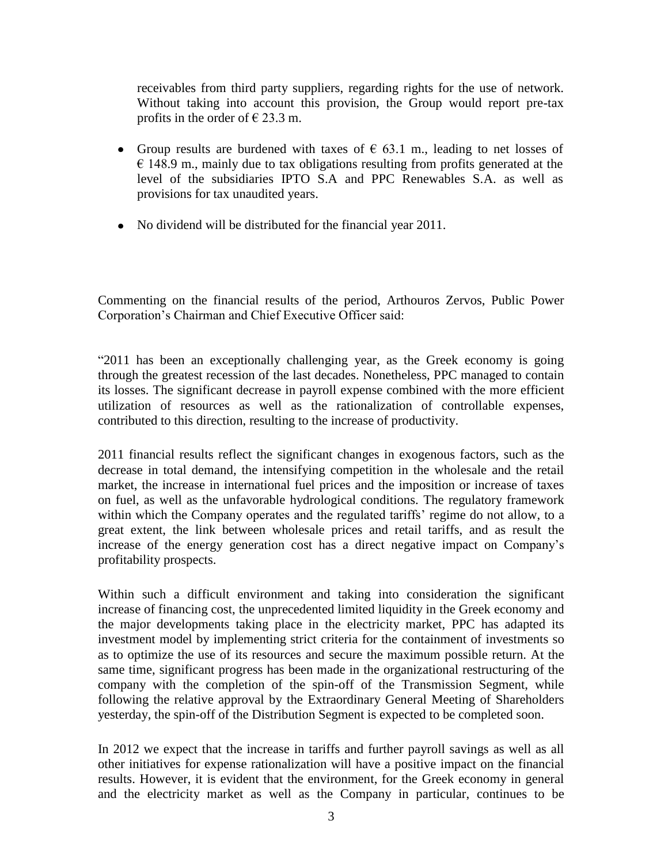receivables from third party suppliers, regarding rights for the use of network. Without taking into account this provision, the Group would report pre-tax profits in the order of  $\in$  23.3 m.

- Group results are burdened with taxes of  $\epsilon$  63.1 m., leading to net losses of  $\epsilon$  148.9 m., mainly due to tax obligations resulting from profits generated at the level of the subsidiaries IPTO S.A and PPC Renewables S.A. as well as provisions for tax unaudited years.
- No dividend will be distributed for the financial year 2011.

Commenting on the financial results of the period, Arthouros Zervos, Public Power Corporation's Chairman and Chief Executive Officer said:

"2011 has been an exceptionally challenging year, as the Greek economy is going through the greatest recession of the last decades. Nonetheless, PPC managed to contain its losses. The significant decrease in payroll expense combined with the more efficient utilization of resources as well as the rationalization of controllable expenses, contributed to this direction, resulting to the increase of productivity.

2011 financial results reflect the significant changes in exogenous factors, such as the decrease in total demand, the intensifying competition in the wholesale and the retail market, the increase in international fuel prices and the imposition or increase of taxes on fuel, as well as the unfavorable hydrological conditions. The regulatory framework within which the Company operates and the regulated tariffs' regime do not allow, to a great extent, the link between wholesale prices and retail tariffs, and as result the increase of the energy generation cost has a direct negative impact on Company's profitability prospects.

Within such a difficult environment and taking into consideration the significant increase of financing cost, the unprecedented limited liquidity in the Greek economy and the major developments taking place in the electricity market, PPC has adapted its investment model by implementing strict criteria for the containment of investments so as to optimize the use of its resources and secure the maximum possible return. At the same time, significant progress has been made in the organizational restructuring of the company with the completion of the spin-off of the Transmission Segment, while following the relative approval by the Extraordinary General Meeting of Shareholders yesterday, the spin-off of the Distribution Segment is expected to be completed soon.

In 2012 we expect that the increase in tariffs and further payroll savings as well as all other initiatives for expense rationalization will have a positive impact on the financial results. However, it is evident that the environment, for the Greek economy in general and the electricity market as well as the Company in particular, continues to be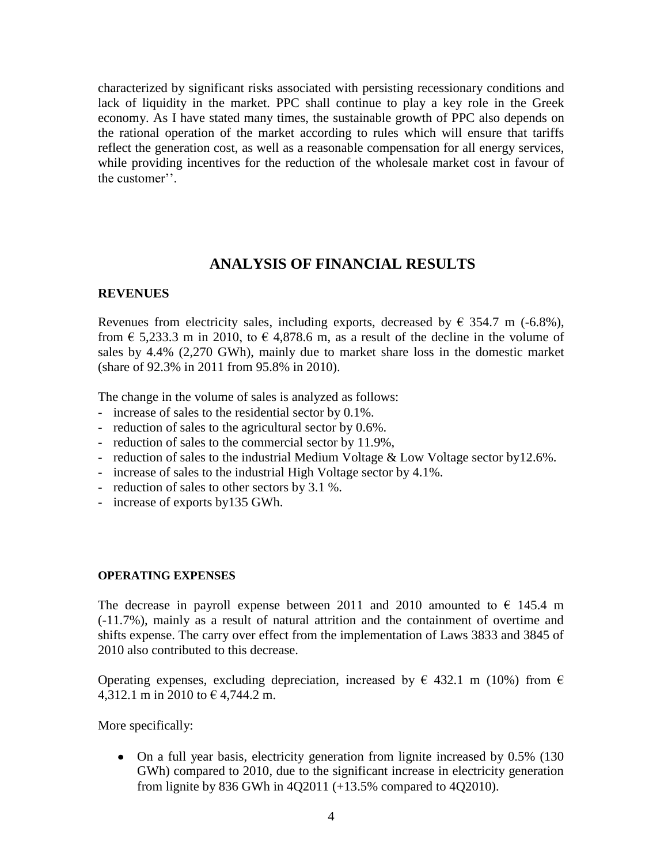characterized by significant risks associated with persisting recessionary conditions and lack of liquidity in the market. PPC shall continue to play a key role in the Greek economy. As I have stated many times, the sustainable growth of PPC also depends on the rational operation of the market according to rules which will ensure that tariffs reflect the generation cost, as well as a reasonable compensation for all energy services, while providing incentives for the reduction of the wholesale market cost in favour of the customer''.

### **ANALYSIS OF FINANCIAL RESULTS**

#### **REVENUES**

Revenues from electricity sales, including exports, decreased by  $\epsilon$  354.7 m (-6.8%), from  $\epsilon$  5,233.3 m in 2010, to  $\epsilon$  4,878.6 m, as a result of the decline in the volume of sales by 4.4% (2,270 GWh), mainly due to market share loss in the domestic market (share of 92.3% in 2011 from 95.8% in 2010).

The change in the volume of sales is analyzed as follows:

- **-** increase of sales to the residential sector by 0.1%.
- **-** reduction of sales to the agricultural sector by 0.6%.
- **-** reduction of sales to the commercial sector by 11.9%,
- **-** reduction of sales to the industrial Medium Voltage & Low Voltage sector by12.6%.
- **-** increase of sales to the industrial High Voltage sector by 4.1%.
- **-** reduction of sales to other sectors by 3.1 %.
- **-** increase of exports by135 GWh.

#### **OPERATING EXPENSES**

The decrease in payroll expense between 2011 and 2010 amounted to  $\epsilon$  145.4 m (-11.7%), mainly as a result of natural attrition and the containment of overtime and shifts expense. The carry over effect from the implementation of Laws 3833 and 3845 of 2010 also contributed to this decrease.

Operating expenses, excluding depreciation, increased by  $\in$  432.1 m (10%) from  $\in$ 4,312.1 m in 2010 to  $\in$  4,744.2 m.

More specifically:

• On a full year basis, electricity generation from lignite increased by 0.5% (130) GWh) compared to 2010, due to the significant increase in electricity generation from lignite by 836 GWh in 4Q2011 (+13.5% compared to 4Q2010).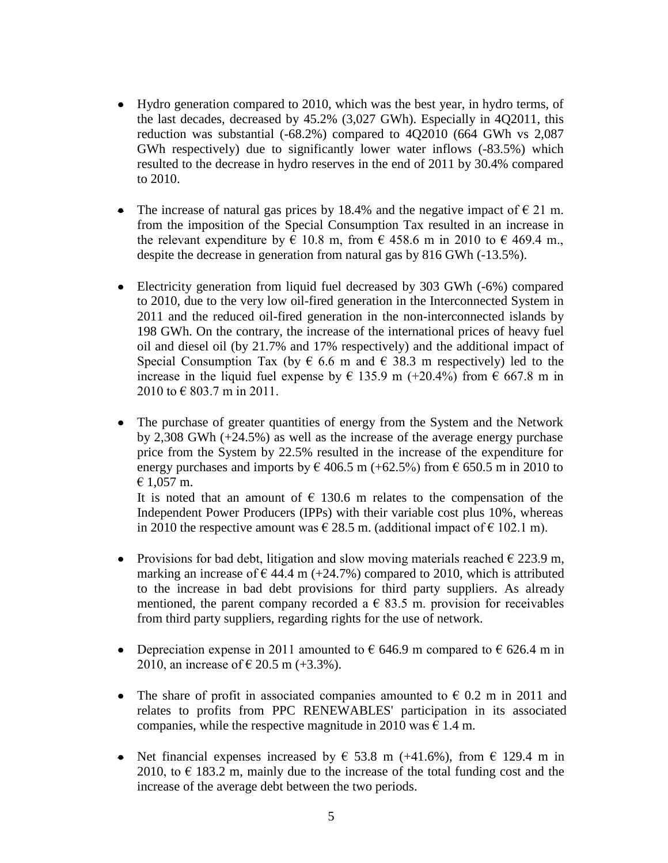- Ηydro generation compared to 2010, which was the best year, in hydro terms, of the last decades, decreased by 45.2% (3,027 GWh). Especially in 4Q2011, this reduction was substantial (-68.2%) compared to 4Q2010 (664 GWh vs 2,087 GWh respectively) due to significantly lower water inflows (-83.5%) which resulted to the decrease in hydro reserves in the end of 2011 by 30.4% compared to 2010.
- The increase of natural gas prices by 18.4% and the negative impact of  $\epsilon$  21 m. from the imposition of the Special Consumption Tax resulted in an increase in the relevant expenditure by  $\epsilon$  10.8 m, from  $\epsilon$  458.6 m in 2010 to  $\epsilon$  469.4 m. despite the decrease in generation from natural gas by 816 GWh (-13.5%).
- Electricity generation from liquid fuel decreased by 303 GWh (-6%) compared to 2010, due to the very low oil-fired generation in the Interconnected System in 2011 and the reduced oil-fired generation in the non-interconnected islands by 198 GWh. On the contrary, the increase of the international prices of heavy fuel oil and diesel oil (by 21.7% and 17% respectively) and the additional impact of Special Consumption Tax (by  $\epsilon$  6.6 m and  $\epsilon$  38.3 m respectively) led to the increase in the liquid fuel expense by  $\epsilon$  135.9 m (+20.4%) from  $\epsilon$  667.8 m in  $2010$  to  $\in$  803.7 m in 2011.
- The purchase of greater quantities of energy from the System and the Network by 2,308 GWh (+24.5%) as well as the increase of the average energy purchase price from the System by 22.5% resulted in the increase of the expenditure for energy purchases and imports by  $\epsilon$  406.5 m (+62.5%) from  $\epsilon$  650.5 m in 2010 to € 1,057 m.

It is noted that an amount of  $\epsilon$  130.6 m relates to the compensation of the Independent Power Producers (IPPs) with their variable cost plus 10%, whereas in 2010 the respective amount was  $\epsilon$  28.5 m. (additional impact of  $\epsilon$  102.1 m).

- Provisions for bad debt, litigation and slow moving materials reached  $\epsilon$  223.9 m,  $\bullet$ marking an increase of  $\epsilon$  44.4 m (+24.7%) compared to 2010, which is attributed to the increase in bad debt provisions for third party suppliers. As already mentioned, the parent company recorded a  $\epsilon$  83.5 m. provision for receivables from third party suppliers, regarding rights for the use of network.
- Depreciation expense in 2011 amounted to  $\epsilon$  646.9 m compared to  $\epsilon$  626.4 m in 2010, an increase of  $\in$  20.5 m (+3.3%).
- The share of profit in associated companies amounted to  $\epsilon$  0.2 m in 2011 and relates to profits from PPC RENEWABLES' participation in its associated companies, while the respective magnitude in 2010 was  $\epsilon$  1.4 m.
- Net financial expenses increased by  $\epsilon$  53.8 m (+41.6%), from  $\epsilon$  129.4 m in 2010, to  $\epsilon$  183.2 m, mainly due to the increase of the total funding cost and the increase of the average debt between the two periods.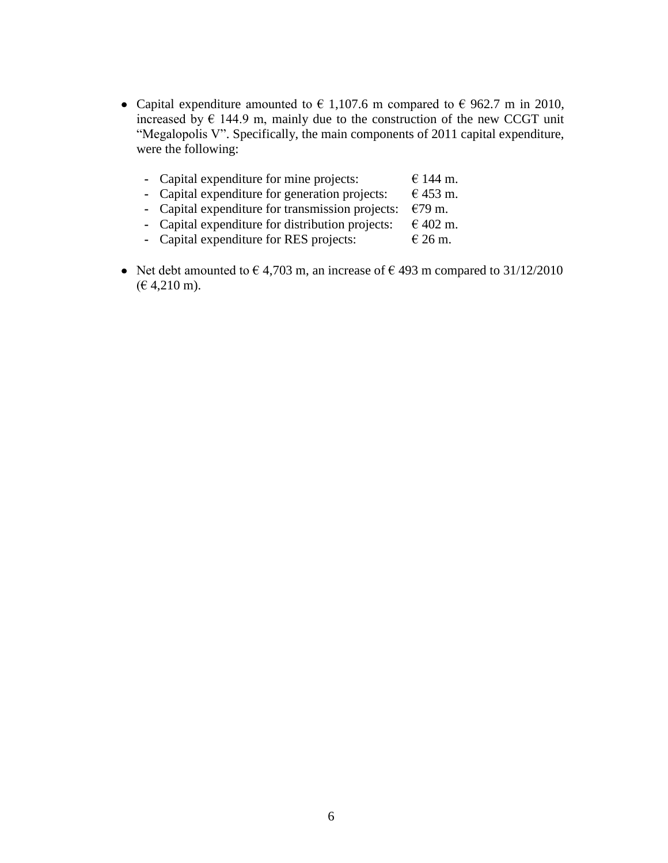- Capital expenditure amounted to  $\epsilon$  1,107.6 m compared to  $\epsilon$  962.7 m in 2010, increased by  $\epsilon$  144.9 m, mainly due to the construction of the new CCGT unit "Megalopolis V". Specifically, the main components of 2011 capital expenditure, were the following:
	- **-** Capital expenditure for mine projects:  $\epsilon$  144 m.
	- **-** Capital expenditure for generation projects:  $\epsilon$  453 m.
	- **-** Capital expenditure for transmission projects: €79 m.
	- **-** Capital expenditure for distribution projects:  $\epsilon$  402 m<br> **-** Capital expenditure for RES projects:  $\epsilon$  26 m.
	- **-** Capital expenditure for RES projects:
- Net debt amounted to  $\epsilon$  4,703 m, an increase of  $\epsilon$  493 m compared to 31/12/2010  $(E 4,210 \text{ m}).$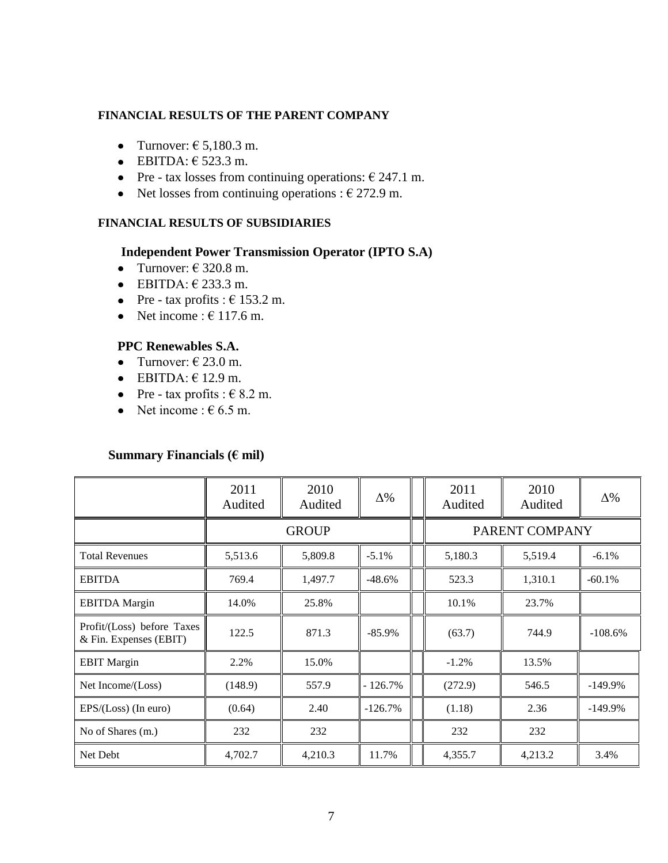#### **FINANCIAL RESULTS OF THE PARENT COMPANY**

- Turnover:  $\epsilon$  5.180.3 m.
- $\bullet$  EBITDA:  $\epsilon$  523.3 m.
- Pre tax losses from continuing operations:  $\epsilon$  247.1 m.
- Net losses from continuing operations :  $\epsilon$  272.9 m.

#### **FINANCIAL RESULTS OF SUBSIDIARIES**

#### **Independent Power Transmission Operator (IPTO S.A)**

- Turnover:  $\in$  320.8 m.
- $\bullet$  EBITDA:  $\in$  233.3 m.
- Pre tax profits :  $\epsilon$  153.2 m.
- Net income :  $\epsilon$  117.6 m.

# **PPC Renewables S.A.**

- Turnover:  $\in$  23.0 m.
- $\bullet$  EBITDA:  $\in$  12.9 m.
- Pre tax profits :  $\in$  8.2 m.
- Net income :  $\epsilon$  6.5 m.

#### **Summary Financials (€ mil)**

|                                                      | 2011<br>Audited | 2010<br>Audited | $\Delta\%$ |  | 2011<br>Audited | 2010<br>Audited | $\Delta\%$ |  |
|------------------------------------------------------|-----------------|-----------------|------------|--|-----------------|-----------------|------------|--|
|                                                      | <b>GROUP</b>    |                 |            |  | PARENT COMPANY  |                 |            |  |
| <b>Total Revenues</b>                                | 5,513.6         | 5,809.8         | $-5.1%$    |  | 5,180.3         | 5,519.4         | $-6.1\%$   |  |
| <b>EBITDA</b>                                        | 769.4           | 1,497.7         | $-48.6%$   |  | 523.3           | 1,310.1         | $-60.1%$   |  |
| <b>EBITDA</b> Margin                                 | 14.0%           | 25.8%           |            |  | 10.1%           | 23.7%           |            |  |
| Profit/(Loss) before Taxes<br>& Fin. Expenses (EBIT) | 122.5           | 871.3           | $-85.9%$   |  | (63.7)          | 744.9           | $-108.6%$  |  |
| <b>EBIT Margin</b>                                   | 2.2%            | 15.0%           |            |  | $-1.2%$         | 13.5%           |            |  |
| Net Income/(Loss)                                    | (148.9)         | 557.9           | $-126.7%$  |  | (272.9)         | 546.5           | $-149.9\%$ |  |
| $EPS/(Loss)$ (In euro)                               | (0.64)          | 2.40            | $-126.7%$  |  | (1.18)          | 2.36            | $-149.9%$  |  |
| No of Shares (m.)                                    | 232             | 232             |            |  | 232             | 232             |            |  |
| Net Debt                                             | 4,702.7         | 4,210.3         | 11.7%      |  | 4,355.7         | 4,213.2         | 3.4%       |  |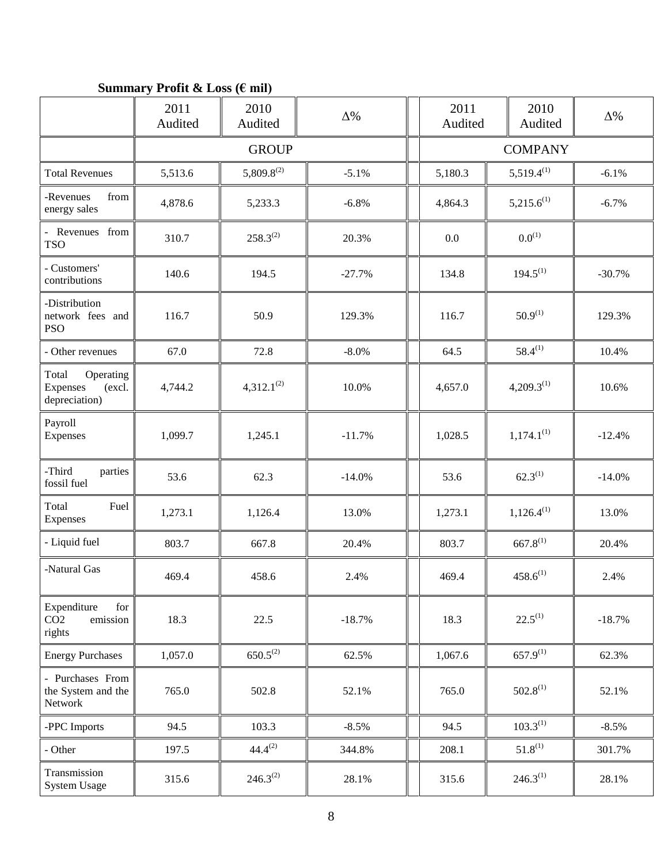# **Summary Profit & Loss (€ mil)**

|                                                             | 2011<br>Audited | 2010<br>Audited | $\Delta\%$     |         | 2011<br>Audited | 2010<br>Audited | $\Delta\%$ |
|-------------------------------------------------------------|-----------------|-----------------|----------------|---------|-----------------|-----------------|------------|
|                                                             |                 | <b>GROUP</b>    | <b>COMPANY</b> |         |                 |                 |            |
| <b>Total Revenues</b>                                       | 5,513.6         | $5,809.8^{(2)}$ | $-5.1%$        | 5,180.3 |                 | $5,519.4^{(1)}$ | $-6.1%$    |
| -Revenues<br>from<br>energy sales                           | 4,878.6         | 5,233.3         | $-6.8%$        | 4,864.3 |                 | $5,215.6^{(1)}$ | $-6.7\%$   |
| - Revenues from<br><b>TSO</b>                               | 310.7           | $258.3^{(2)}$   | 20.3%          | 0.0     |                 | $0.0^{(1)}$     |            |
| - Customers'<br>contributions                               | 140.6           | 194.5           | $-27.7%$       | 134.8   |                 | $194.5^{(1)}$   | $-30.7%$   |
| -Distribution<br>network fees and<br><b>PSO</b>             | 116.7           | 50.9            | 129.3%         | 116.7   |                 | $50.9^{(1)}$    | 129.3%     |
| - Other revenues                                            | 67.0            | 72.8            | $-8.0\%$       | 64.5    |                 | $58.4^{(1)}$    | 10.4%      |
| Total<br>Operating<br>Expenses<br>(excl.<br>depreciation)   | 4,744.2         | $4,312.1^{(2)}$ | 10.0%          | 4,657.0 |                 | $4,209.3^{(1)}$ | 10.6%      |
| Payroll<br>Expenses                                         | 1,099.7         | 1,245.1         | $-11.7%$       | 1,028.5 |                 | $1,174.1^{(1)}$ | $-12.4%$   |
| -Third<br>parties<br>fossil fuel                            | 53.6            | 62.3            | $-14.0%$       | 53.6    |                 | $62.3^{(1)}$    | $-14.0%$   |
| Total<br>Fuel<br>Expenses                                   | 1,273.1         | 1,126.4         | 13.0%          | 1,273.1 |                 | $1,126.4^{(1)}$ | 13.0%      |
| - Liquid fuel                                               | 803.7           | 667.8           | 20.4%          | 803.7   |                 | $667.8^{(1)}$   | 20.4%      |
| -Natural Gas                                                | 469.4           | 458.6           | 2.4%           | 469.4   |                 | $458.6^{(1)}$   | 2.4%       |
| for<br>Expenditure<br>CO <sub>2</sub><br>emission<br>rights | 18.3            | 22.5            | $-18.7%$       | 18.3    |                 | $22.5^{(1)}$    | $-18.7%$   |
| <b>Energy Purchases</b>                                     | 1,057.0         | $650.5^{(2)}$   | 62.5%          | 1,067.6 |                 | $657.9^{(1)}$   | 62.3%      |
| - Purchases From<br>the System and the<br>Network           | 765.0           | 502.8           | 52.1%          | 765.0   |                 | $502.8^{(1)}$   | 52.1%      |
| -PPC Imports                                                | 94.5            | 103.3           | $-8.5%$        | 94.5    |                 | $103.3^{(1)}$   | $-8.5%$    |
| - Other                                                     | 197.5           | $44.4^{(2)}$    | 344.8%         | 208.1   |                 | $51.8^{(1)}$    | 301.7%     |
| Transmission<br>System Usage                                | 315.6           | $246.3^{(2)}$   | 28.1%          | 315.6   |                 | $246.3^{(1)}$   | 28.1%      |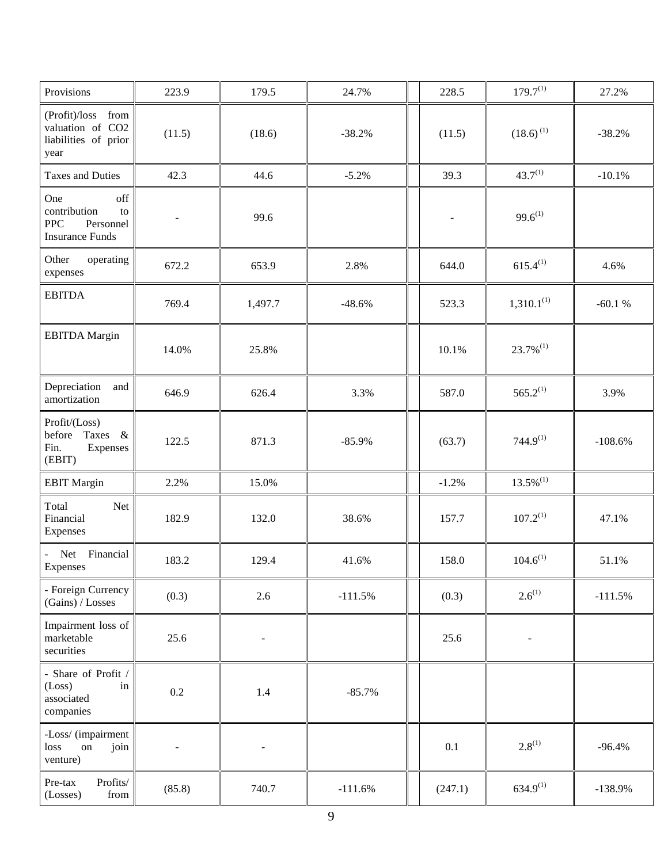| Provisions                                                                            | 223.9  | 179.5                    | 24.7%     | 228.5   | $179.7^{(1)}$            | 27.2%     |
|---------------------------------------------------------------------------------------|--------|--------------------------|-----------|---------|--------------------------|-----------|
| (Profit)/loss from<br>valuation of CO2<br>liabilities of prior<br>year                | (11.5) | (18.6)                   | $-38.2%$  | (11.5)  | $(18.6)^{(1)}$           | $-38.2%$  |
| <b>Taxes and Duties</b>                                                               | 42.3   | 44.6                     | $-5.2%$   | 39.3    | $43.7^{(1)}$             | $-10.1%$  |
| off<br>One<br>contribution<br>to<br><b>PPC</b><br>Personnel<br><b>Insurance Funds</b> |        | 99.6                     |           |         | $99.6^{(1)}$             |           |
| Other<br>operating<br>expenses                                                        | 672.2  | 653.9                    | 2.8%      | 644.0   | $615.4^{(1)}$            | 4.6%      |
| <b>EBITDA</b>                                                                         | 769.4  | 1,497.7                  | $-48.6%$  | 523.3   | $1,310.1^{(1)}$          | $-60.1%$  |
| <b>EBITDA</b> Margin                                                                  | 14.0%  | 25.8%                    |           | 10.1%   | $23.7\%$ <sup>(1)</sup>  |           |
| Depreciation<br>and<br>amortization                                                   | 646.9  | 626.4                    | 3.3%      | 587.0   | $565.2^{(1)}$            | 3.9%      |
| Profit/(Loss)<br>before<br>Taxes &<br>Fin.<br>Expenses<br>(EBIT)                      | 122.5  | 871.3                    | $-85.9%$  | (63.7)  | $744.9^{(1)}$            | $-108.6%$ |
| <b>EBIT Margin</b>                                                                    | 2.2%   | 15.0%                    |           | $-1.2%$ | $13.5\%$ <sup>(1)</sup>  |           |
| Total<br>Net<br>Financial<br>Expenses                                                 | 182.9  | 132.0                    | 38.6%     | 157.7   | $107.2^{(1)}$            | 47.1%     |
| Net Financial<br>Expenses                                                             | 183.2  | 129.4                    | 41.6%     | 158.0   | $104.6^{(1)}$            | 51.1%     |
| - Foreign Currency<br>(Gains) / Losses                                                | (0.3)  | 2.6                      | $-111.5%$ | (0.3)   | $2.6^{(1)}$              | $-111.5%$ |
| Impairment loss of<br>marketable<br>securities                                        | 25.6   | $\overline{\phantom{a}}$ |           | 25.6    | $\overline{\phantom{a}}$ |           |
| - Share of Profit /<br>(Loss)<br>in<br>associated<br>companies                        | 0.2    | 1.4                      | $-85.7%$  |         |                          |           |
| -Loss/ (impairment<br>loss<br>on<br>join<br>venture)                                  |        |                          |           | 0.1     | $2.8^{(1)}$              | $-96.4%$  |
| Pre-tax<br>Profits/<br>(Losses)<br>from                                               | (85.8) | 740.7                    | $-111.6%$ | (247.1) | $634.9^{(1)}$            | $-138.9%$ |